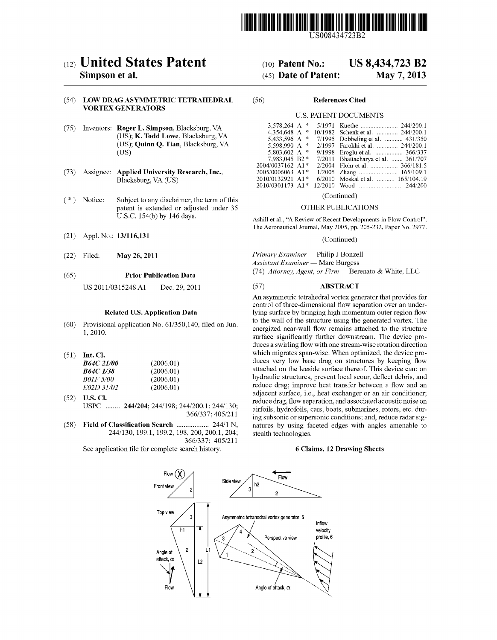

US008434723B2

# (12) United States Patent

# Simpson et al.

### (54) LOW DRAG ASYMMETRIC TETRAHEDRAL VORTEX GENERATORS

- (75) Inventors: Roger L. Simpson, Blacksburg, VA (US); K. Todd Lowe, Blacksburg, VA (US); Quinn Q. Tian, Blacksburg, VA (Us)
- (73) Assignee: Applied University Research, Inc., Blacksburg, VA (US)
- (\*) Notice: Subject to any disclaimer, the term of this patent is extended or adjusted under 35 U.S.C. 154(b) by 146 days.
- (21) Appl. N0.: 13/116,131
- (22) Filed: May 26, 2011

#### (65) Prior Publication Data

US 2011/0315248 A1 Dec. 29, 2011

#### Related US. Application Data

- (60) Provisional application No. 61/350,140, filed on Jun. 1, 2010.
- $(51)$  Int. Cl.

| <i>B64C 21/00</i> | (2006.01) |
|-------------------|-----------|
| <i>B64C 1/38</i>  | (2006.01) |
| <i>B01F 5/00</i>  | (2006.01) |
| E02D 31/02        | (2006.01) |

- (52) US. Cl. USPC ........ 244/204; 244/198; 244/200.1; 244/130; 366/337; 405/211
- (58) Field of Classification Search .................... 244/1 N, 244/130, 199.1, 199.2, 198, 200, 200.1, 204; 366/337; 405/211

See application file for complete search history.

#### US 8,434,723 B2 May 7, 2013 (10) Patent N0.: (45) Date of Patent:

#### (56) References Cited

#### U.S. PATENT DOCUMENTS

| 3.578.264 A $*$  |               |                                     |
|------------------|---------------|-------------------------------------|
| 4.354.648 A      | $\frac{1}{2}$ | 10/1982 Schenk et al.  244/200.1    |
| 5.433.596 A      | $\sim$        | 7/1995 Dobbeling et al.  431/350    |
| 5,598,990 A *    |               | 2/1997 Farokhi et al.  244/200.1    |
| 5.803.602 A $*$  |               | 9/1998 Eroglu et al.  366/337       |
| 7.983.045 B2 *   |               | 7/2011 Bhattacharya et al.  361/707 |
| 2004/0037162 A1* |               | 2/2004 Flohr et al.  366/181.5      |
| 2005/0006063 A1* |               | 1/2005 Zhang  165/109.1             |
| 2010/0132921 A1* |               | 6/2010 Moskal et al.  165/104.19    |
| 2010/0301173 A1* |               |                                     |
|                  |               |                                     |

(Continued)

#### OTHER PUBLICATIONS

Ashill et al., "A Review of Recent Developments in Flow Control", The Aeronautical Journal, May 2005, pp. 205-232, Paper No. 2977.

(Continued)

Primary Examiner - Philip J Bonzell  $\Lambda$ ssistant Examiner — Marc Burgess

(74) Attorney, Agent, or Firm  $-$  Berenato & White, LLC

#### (57) ABSTRACT

An asymmetric tetrahedral vortex generator that provides for control of three-dimensional flow separation over an underlying surface by bringing high momentum outer region flow to the Wall of the structure using the generated vortex. The energized near-wall flow remains attached to the structure surface significantly further downstream. The device produces a swirling flow with one stream-wise rotation direction which migrates span-wise. When optimized, the device pro duces very low base drag on structures by keeping flow attached on the leeside surface thereof. This device can: on hydraulic structures, prevent local scour, deflect debris, and reduce drag; improve heat transfer between a flow and an adjacent surface, i.e., heat exchanger or an air conditioner; reduce drag, flow separation, and associated acoustic noise on airfoils, hydrofoils, cars, boats, submarines, rotors, etc. dur ing subsonic or supersonic conditions; and, reduce radar sig natures by using faceted edges with angles amenable to stealth technologies.

#### 6 Claims, 12 Drawing Sheets

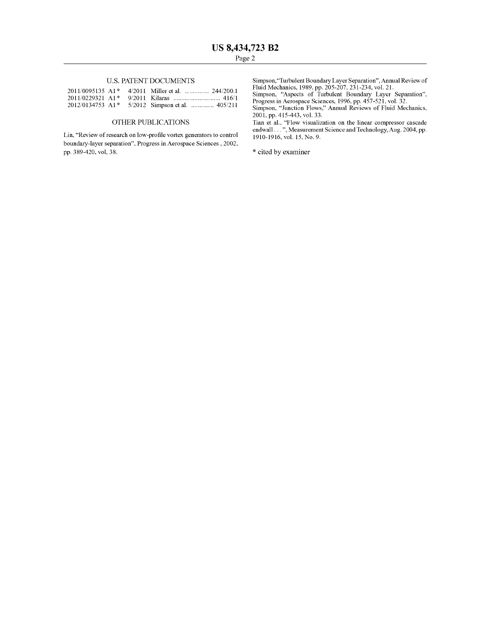## U.S. PATENT DOCUMENTS

|  | 2011/0095135 A1* 4/2011 Miller et al.  244/200.1 |
|--|--------------------------------------------------|
|  |                                                  |
|  | 2012/0134753 A1* 5/2012 Simpson et al.  405/211  |

#### OTHER PUBLICATIONS

Lin, "Review of research on low-profile vortex generators to control boundary-layer separation", Progress in Aerospace Sciences , 2002, pp. 389-420, vol, 38.

Simpson,"Turbulent Boundary Layer Separation", Annual Review of Fluid Mechanics, 1989, pp. 205-207, 231-234, vol. 21. Simpson, "Aspects of Turbulent Boundary Layer Separation",

Progress in Aerospace Sciences, 1996, pp. 457-521, vol. 32.

Simpson, "Junction Flows," Annual Reviews of Fluid Mechanics, 2001, pp. 415-443, vol. 33.

Tian et al., "Flow visualization on the linear compressor cascade endwall . . . ", Measurement Science and Technology, Aug. 2004, pp. 1910-1916, vol. 15, No. 9.

\* cited by examiner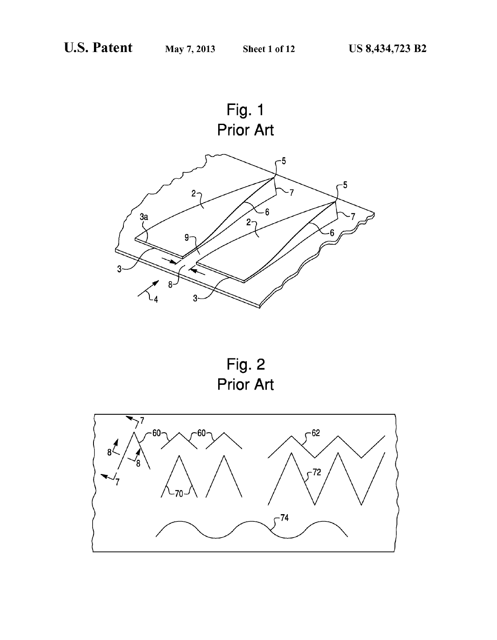

Fig. 2 Prior Art

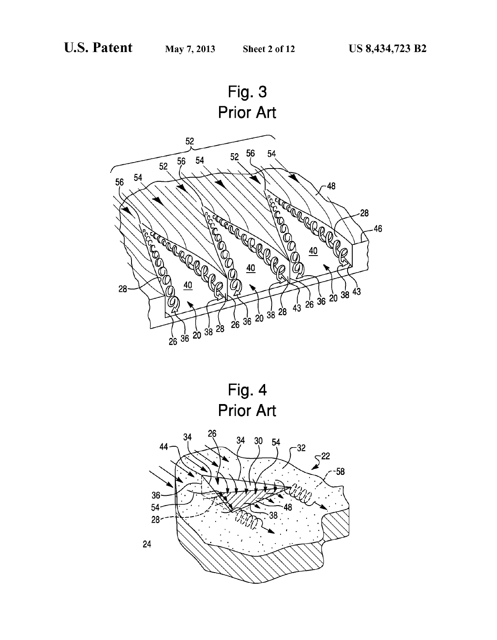



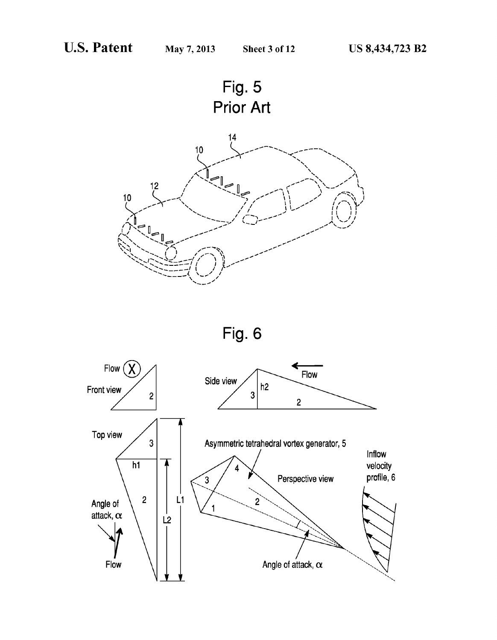



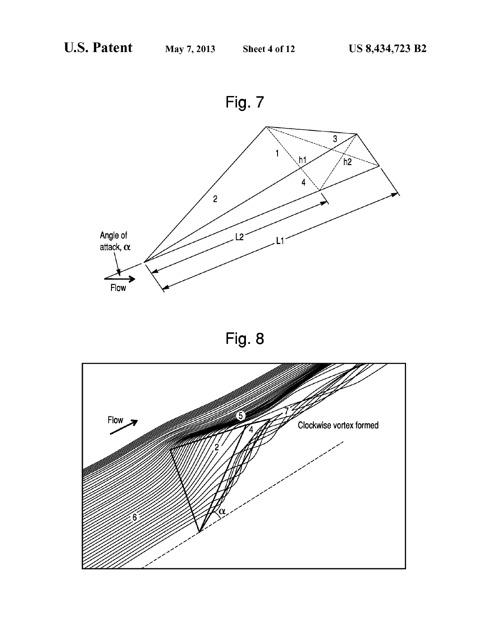



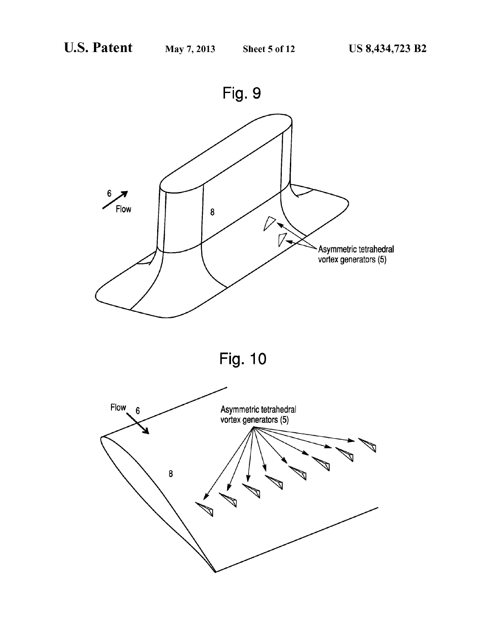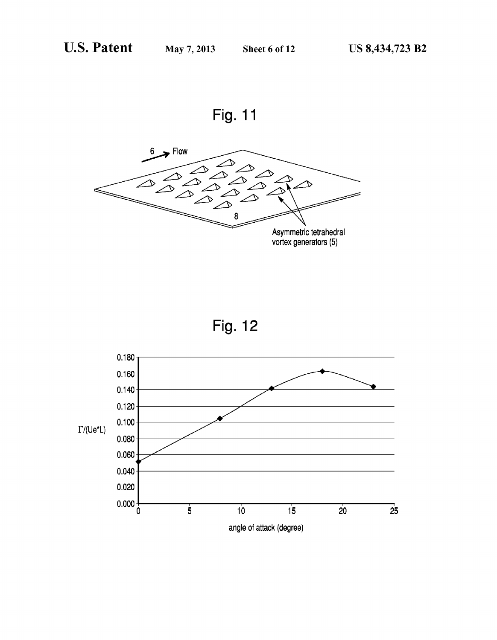





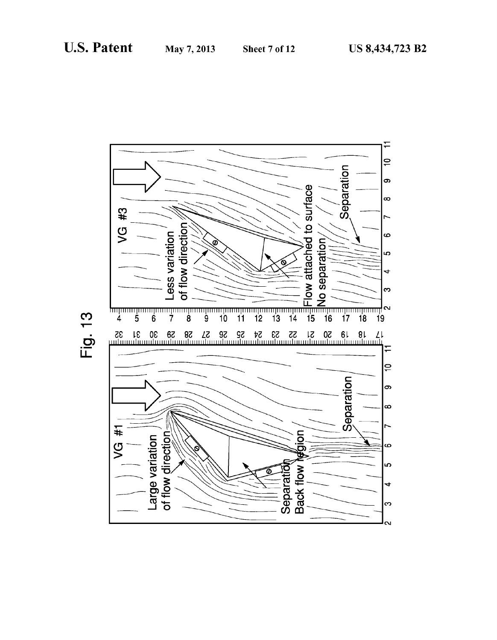

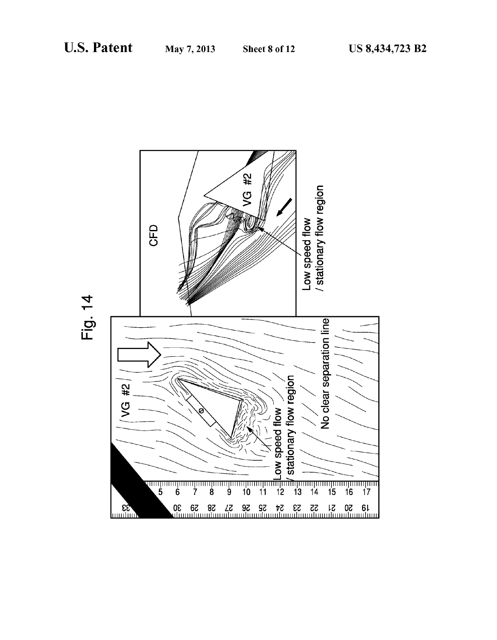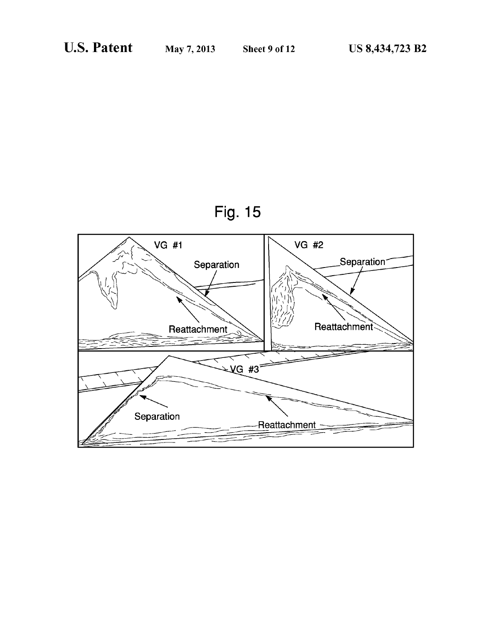

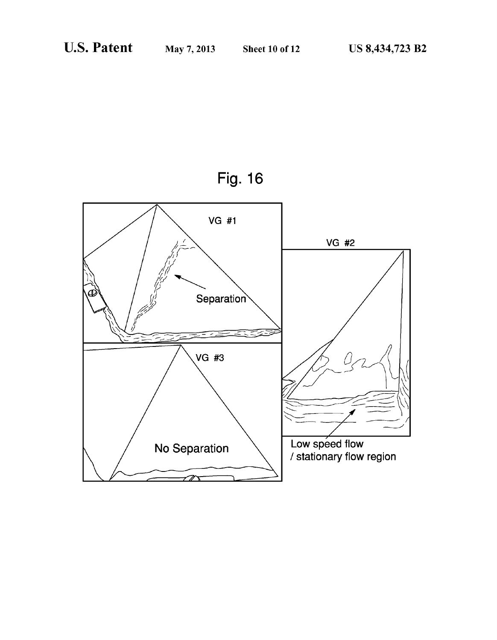

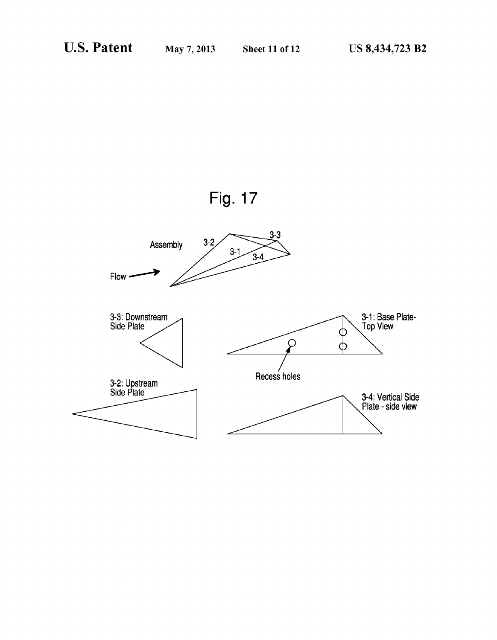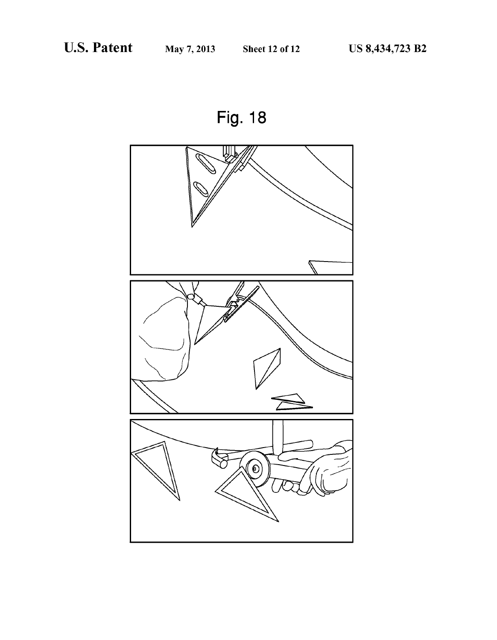Fig. 18

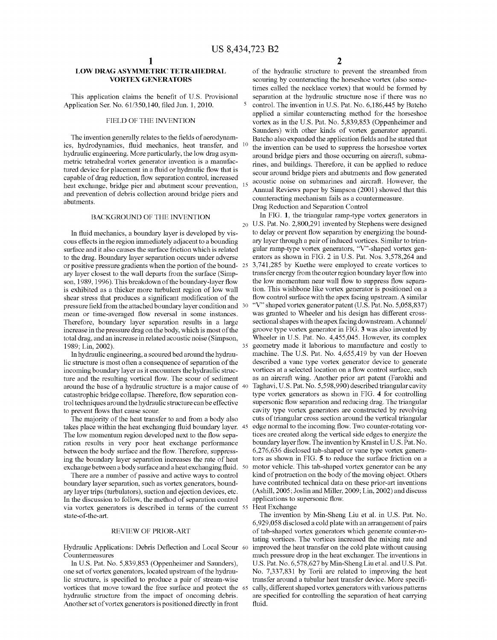#### LOW DRAG ASYMMETRIC TETRAHEDRAL VORTEX GENERATORS

This application claims the benefit of U.S. Provisional Application Ser. No. 61/350,140, filed Jun. 1, 2010.

#### FIELD OF THE INVENTION

The invention generally relates to the fields of aerodynamics, hydrodynamics, fluid mechanics, heat transfer, and  $10$ hydraulic engineering. More particularly, the low drag asymmetric tetrahedral vortex generator invention is a manufac tured device for placement in a fluid or hydraulic flow that is capable of drag reduction, flow separation control, increased heat exchange, bridge pier and abutment scour prevention, and prevention of debris collection around bridge piers and abutments.

#### BACKGROUND OF THE INVENTION

In fluid mechanics, a boundary layer is developed by vis-<br>cous effects in the region immediately adjacent to a bounding surface and it also causes the surface friction Which is related to the drag. Boundary layer separation occurs under adverse or positive pressure gradients when the portion of the bound- 25 ary layer closest to the Wall departs from the surface (Simp son, 1989, 1996). This breakdown of the boundary-layer flow is exhibited as a thicker more turbulent region of low wall shear stress that produces a significant modification of the pressure field from the attached boundary layer condition and  $\,30$ mean or time-averaged flow reversal in some instances. Therefore, boundary layer separation results in a large increase in the pressure drag on the body, Which is most of the total drag, and an increase in related acoustic noise (Simpson, 1989; Lin, 2002).

In hydraulic engineering, a scoured bed around the hydrau lic structure is most often a consequence of separation of the incoming boundary layer as it encounters the hydraulic struc ture and the resulting vortical flow. The scour of sediment around the base of a hydraulic structure is a major cause of 40 catastrophic bridge collapse. Therefore, flow separation control techniques around the hydraulic structure can be effective to prevent flows that cause scour.

The majority of the heat transfer to and from a body also takes place within the heat exchanging fluid boundary layer.  $45$ The low momentum region developed next to the flow separation results in very poor heat exchange performance between the body surface and the flow. Therefore, suppressing the boundary layer separation increases the rate of heat exchange between a body surface and a heat exchanging fluid.  $\,$  50  $\,$ 

There are a number of passive and active Ways to control boundary layer separation, such as vortex generators, bound ary layer trips (turbulators), suction and ejection devices, etc. In the discussion to folloW, the method of separation control via vortex generators is described in terms of the current 55 state-of-the-art.

#### REVIEW OF PRIOR-ART

Hydraulic Applications: Debris Deflection and Local Scour 60 Countermeasures

In US. Pat. No. 5,839,853 (Oppenheimer and Saunders), one set of vortex generators, located upstream of the hydrau lic structure, is specified to produce a pair of stream-wise vortices that move toWard the free surface and protect the 65 hydraulic structure from the impact of oncoming debris. Another set of vortex generators is positioned directly in front

of the hydraulic structure to prevent the streambed from scouring by counteracting the horseshoe vortex (also some times called the necklace vortex) that Would be formed by separation at the hydraulic structure nose if there Was no control. The invention in US. Pat. No. 6,186,445 by Batcho applied a similar counteracting method for the horseshoe vortex as in the US. Pat. No. 5,839,853 (Oppenheimer and Saunders) With other kinds of vortex generator apparati. Batcho also expanded the application fields and he stated that the invention can be used to suppress the horseshoe vortex around bridge piers and those occurring on aircraft, subma rines, and buildings. Therefore, it can be applied to reduce scour around bridge piers and abutments and flow generated acoustic noise on submarines and aircraft. HoWever, the Annual Reviews paper by Simpson (2001) showed that this counteracting mechanism fails as a countermeasure. Drag Reduction and Separation Control

20 US. Pat. No. 2,800,291 invented by Stephens Were designed In FIG. 1, the triangular ramp-type vortex generators in to delay or prevent flow separation by energizing the boundary layer through a pair of induced vortices. Similar to trian gular ramp-type vortex generators, "V"-shaped vortex gen erators as shoWn in FIG. 2 in US. Pat. Nos. 3,578,264 and 3,741,285 by Kuethe Were employed to create vortices to transfer energy from the outer region boundary layer flow into the low momentum near wall flow to suppress flow separation. This Wishbone like vortex generator is positioned on a flow control surface with the apex facing upstream. A similar "V" shaped vortex generator patent (U.S. Pat. No. 5,058,837) was granted to Wheeler and his design has different crosssectional shapes With the apex facing downstream. A channel/ groove type vortex generator in FIG. 3 Was also invented by Wheeler in U.S. Pat. No. 4,455,045. However, its complex geometry made it laborious to manufacture and costly to machine. The US. Pat. No. 4,655,419 by van der Hoeven described a vane type vortex generator device to generate vortices at a selected location on a flow control surface, such as an aircraft Wing. Another prior art patent (Farokhi and Taghavi, U.S. Pat. No. 5,598,990) described triangular cavity type vortex generators as shoWn in FIG. 4 for controlling supersonic flow separation and reducing drag. The triangular cavity type vortex generators are constructed by revolving cuts of triangular cross section around the vertical triangular edge normal to the incoming flow. Two counter-rotating vortices are created along the vertical side edges to energize the boundary layer flow. The invention by Krastel in U.S. Pat. No. 6,276,636 disclosed tab-shaped or vane type vortex genera tors as shoWn in FIG. 5 to reduce the surface friction on a motor vehicle. This tab-shaped vortex generator can be any kind of protraction on the body of the moving object. Others have contributed technical data on these prior-art inventions (Ashill, 2005; Joslin and Miller, 2009; Lin, 2002) and discuss applications to supersonic flow.

Heat Exchange

35

The invention by Min-Sheng Liu et al. in US. Pat. No. 6,929,058 disclosed a cold plate With an arrangement of pairs of tab-shaped vortex generators Which generate counter-ro tating vortices. The vortices increased the mixing rate and improved the heat transfer on the cold plate without causing much pressure drop in the heat exchanger. The inventions in U.S. Pat. No. 6,578,627 by Min-Sheng Liu et al. and U.S. Pat. No. 7,337,831 by Torii are related to improving the heat transfer around a tubular heat transfer device. More specifically, different shaped vortex generators With various patterns are specified for controlling the separation of heat carrying fluid.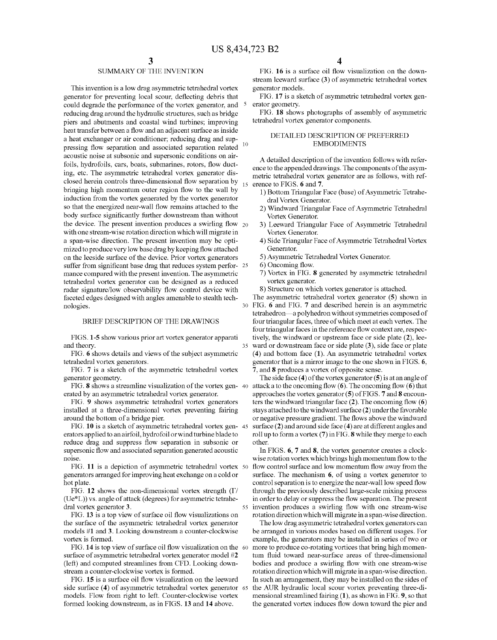$\mathcal{L}$ 

35

55

### SUMMARY OF THE INVENTION

This invention is a low drag asymmetric tetrahedral vortex generator for preventing local scour, deflecting debris that could degrade the performance of the vortex generator, and reducing drag around the hydraulic structures, such as bridge piers and abutments and coastal Wind turbines; improving heat transfer betWeen a How and an adjacent surface as inside a heat exchanger or air conditioner; reducing drag and sup  $10$ pressing flow separation and associated separation related acoustic noise at subsonic and supersonic conditions on air foils, hydrofoils, cars, boats, submarines, rotors, flow ducting, etc. The asymmetric tetrahedral vortex generator dis closed herein controls three-dimensional flow separation by bringing high momentum outer region How to the Wall by induction from the vortex generated by the vortex generator so that the energized near-wall flow remains attached to the body surface significantly further downstream than without the device. The present invention produces a swirling flow  $_{20}$ With one stream-Wise rotation direction Which Will migrate in a span-Wise direction. The present invention may be opti mized to produce very low base drag by keeping flow attached on the leeside surface of the device. Prior vortex generators suffer from significant base drag that reduces system perfor-25 mance compared with the present invention. The asymmetric tetrahedral vortex generator can be designed as a reduced radar signature/low observability flow control device with faceted edges designed With angles amenable to stealth tech 30 nologies.

### BRIEF DESCRIPTION OF THE DRAWINGS

FIGS. 1-5 show various prior art vortex generator apparati and theory.

FIG. 6 shows details and views of the subject asymmetric tetrahedral vortex generators.

FIG. 7 is a sketch of the asymmetric tetrahedral vortex generator geometry.

erated by an asymmetric tetrahedral vortex generator.

FIG. 9 shows asymmetric tetrahedral vortex generators installed at a three-dimensional vortex preventing fairing around the bottom of a bridge pier.

FIG. 10 is a sketch of asymmetric tetrahedral vortex gen- 45 erators applied to an airfoil, hydrofoil or Wind turbine blade to reduce drag and suppress flow separation in subsonic or supersonic How and associated separation generated acoustic noise.

FIG. 11 is a depiction of asymmetric tetrahedral vortex 50 generators arranged for improving heat exchange on a cold or hot plate.

FIG. 12 shows the non-dimensional vortex strength  $(\Gamma)$ (Ue\*L)) vs. angle of attack (degrees) for asymmetric tetrahe dral vortex generator 3.

FIG. 13 is a top view of surface oil flow visualizations on the surface of the asymmetric tetrahedral vortex generator models #1 and 3. Looking downstream a counter-clockwise vortex is formed.

FIG. 14 is top view of surface oil flow visualization on the  $\,$  60 surface of asymmetric tetrahedral vortex generator model #2 (left) and computed streamlines from CFD. Looking doWn stream a counter-clockwise vortex is formed.

FIG. 15 is a surface oil flow visualization on the leeward side surface (4) of asymmetric tetrahedral vortex generator 65 models. Flow from right to left. Counter-clockwise vortex formed looking doWnstream, as in FIGS. 13 and 14 above.

FIG. 16 is a surface oil flow visualization on the downstream leeward surface  $(3)$  of asymmetric tetrahedral vortex generator models.

FIG. 17 is a sketch of asymmetric tetrahedral vortex gen erator geometry.

FIG. 18 shows photographs of assembly of asymmetric tetrahedral vortex generator components.

#### DETAILED DESCRIPTION OF PREFERRED EMBODIMENTS

A detailed description of the invention follows with reference to the appended draWings. The components of the asym metric tetrahedral vortex generator are as follows, with ref-15 erence to FIGS. 6 and 7.

- 1) Bottom Triangular Face (base) of Asymmetric Tetrahe dral Vortex Generator.
- 2) WindWard Triangular Face of Asymmetric Tetrahedral Vortex Generator.
- 3) LeeWard Triangular Face of Asymmetric Tetrahedral Vortex Generator.
- 4) Side Triangular Face of Asymmetric Tetrahedral Vortex Generator.

5) Asymmetric Tetrahedral Vortex Generator.

- 6) Oncoming How.
- 7) Vortex in FIG. 8 generated by asymmetric tetrahedral vortex generator.
- 8) Structure on which vortex generator is attached.

The asymmetric tetrahedral vortex generator (5) shoWn in FIG. 6 and FIG. 7 and described herein is an asymmetric tetrahedron—a polyhedron without symmetries composed of four triangular faces, three of Which meet at each vertex. The four triangular faces in the reference flow context are, respectively, the windward or upstream face or side plate  $(2)$ , leeward or downstream face or side plate (3), side face or plate  $(4)$  and bottom face  $(1)$ . An asymmetric tetrahedral vortex generator that is a mirror image to the one shoWn in FIGS. 6, 7, and 8 produces a vortex of opposite sense.

FIG. **8** shows a streamline visualization of the vortex gen-40 attack a to the oncoming flow (6). The oncoming flow (6) that The side face  $(4)$  of the vortex generator  $(5)$  is at an angle of approaches the vortex generator (5) of FIGS. 7 and 8 encoun ters the WindWard triangular face (2). The oncoming How (6) stays attached to the WindWard surface (2) under the favorable or negative pressure gradient. The flows above the windward surface (2) and around side face (4) are at different angles and roll up to form a vortex (7) in FIG. 8 While they merge to each other.

> In FIGS. 6, 7 and 8, the vortex generator creates a clock Wise rotation vortex Which brings high momentum How to the flow control surface and low momentum flow away from the surface. The mechanism 6, of using a vortex generator to control separation is to energize the near-wall low speed flow through the previously described large-scale mixing process in order to delay or suppress the How separation. The present invention produces a swirling flow with one stream-wise rotation direction which will migrate in a span-wise direction.

> The loW drag asymmetric tetrahedral vortex generators can be arranged in various modes based on different usages. For example, the generators may be installed in series of two or more to produce co-rotating vortices that bring high momentum fluid toward near-surface areas of three-dimensional bodies and produce a swirling flow with one stream-wise rotation direction which will migrate in a span-wise direction. In such an arrangement, they may be installed on the sides of the AUR hydraulic local scour vortex preventing three-di mensional streamlined fairing (1), as shoWn in FIG. 9, so that the generated vortex induces flow down toward the pier and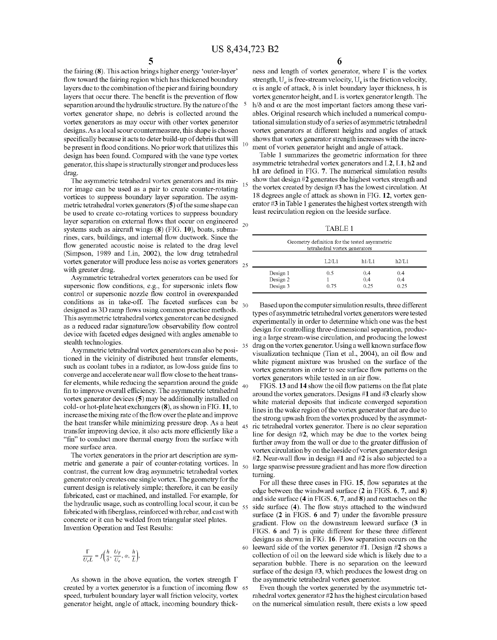30

35

40

45

50

55

the fairing (8). This action brings higher energy 'outer-layer' flow toward the fairing region which has thickened boundary layers due to the combination of the pier and fairing boundary layers that occur there. The benefit is the prevention of flow separation around the hydraulic structure. By the nature of the vortex generator shape, no debris is collected around the vortex generators as may occur With other vortex generator designs. As a local scour countermeasure, this shape is chosen specifically because it acts to deter build-up of debris that will be present in flood conditions. No prior work that utilizes this design has been found. Compared With the vane type vortex generator, this shape is structurally stronger and produces less drag.

The asymmetric tetrahedral vortex generators and its mir ror image can be used as a pair to create counter-rotating vortices to suppress boundary layer separation. The asym metric tetrahedral vortex generators (5) of the same shape can be used to create co-rotating vortices to suppress boundary layer separation on external flows that occur on engineered systems such as aircraft Wings (8) (FIG. 10), boats, subma rines, cars, buildings, and internal flow ductwork. Since the flow generated acoustic noise is related to the drag level (Simpson, 1989 and Lin, 2002), the loW drag tetrahedral vortex generator Will produce less noise as vortex generators with greater drag. 20

Asymmetric tetrahedral vortex generators can be used for supersonic flow conditions, e.g., for supersonic inlets flow control or supersonic nozzle flow control in overexpanded conditions as in take-off. The faceted surfaces can be designed as 3D ramp flows using common practice methods. This asymmetric tetrahedral vortex generator can be designed as a reduced radar signature/low observability flow control device With faceted edges designed With angles amenable to stealth technologies.

Asymmetric tetrahedral vortex generators can also be positioned in the vicinity of distributed heat transfer elements, such as coolant tubes in a radiator, as low-loss guide fins to converge and accelerate near Wall How close to the heat trans fer elements, While reducing the separation around the guide fin to improve overall efficiency. The asymmetric tetrahedral vortex generator devices (5) may be additionally installed on cold- or hot-plate heat exchangers (8), as shoWn in FIG. 11, to increase the mixing rate of the How over the plate and improve the heat transfer while minimizing pressure drop. As a heat transfer improving device, it also acts more efficiently like a "fin" to conduct more thermal energy from the surface with more surface area.

The vortex generators in the prior art description are sym metric and generate a pair of counter-rotating vortices. In contrast, the current loW drag asymmetric tetrahedral vortex generator only creates one single vortex. The geometry for the current design is relatively simple; therefore, it can be easily fabricated, cast or machined, and installed. For example, for the hydraulic usage, such as controlling local scour, it can be fabricated with fiberglass, reinforced with rebar, and cast with concrete or it can be Welded from triangular steel plates. Invention Operation and Test Results:

$$
\frac{\Gamma}{U_e L} = f\left(\frac{h}{\delta}, \frac{U_T}{U_e}, \alpha, \frac{h}{L}\right),
$$

As shown in the above equation, the vortex strength  $\Gamma$ created by a vortex generator is a function of incoming flow 65 speed, turbulent boundary layer Wall friction velocity, vortex generator height, angle of attack, incoming boundary thick

 $\overline{6}$  ness and length of vortex generator, where  $\Gamma$  is the vortex strength,  $U_e$  is free-stream velocity,  $U_\tau$  is the friction velocity,  $\alpha$  is angle of attack,  $\delta$  is inlet boundary layer thickness, h is vortex generator height, and L is vortex generator length. The h/ $\delta$  and  $\alpha$  are the most important factors among these variables. Original research Which included a numerical compu tational simulation study of a series of asymmetric tetrahedral vortex generators at different heights and angles of attack shoWs that vortex generator strength increases With the incre ment of vortex generator height and angle of attack.

Table 1 summarizes the geometric information for three asymmetric tetrahedral vortex generators and L2, L1, h2 and h1 are defined in FIG. 7. The numerical simulation results shoW that design #2 generates the highest vortex strength and the vortex created by design #3 has the loWest circulation. At 18 degrees angle of attack as shoWn in FIG. 12, vortex gen erator #3 in Table 1 generates the highest vortex strength With least recirculation region on the leeside surface.

TABLE 1

|    | Geometry definition for the tested asymmetric<br>tetrahedral vortex generators |         |       |       |  |  |  |
|----|--------------------------------------------------------------------------------|---------|-------|-------|--|--|--|
| 25 |                                                                                | 1.2/1.1 | h1/L1 | h2/L1 |  |  |  |
|    | Design 1                                                                       | 0.5     | 0.4   | 0.4   |  |  |  |
|    | Design 2                                                                       |         | 0.4   | 0.4   |  |  |  |
|    | Design 3                                                                       | 0.75    | 0.25  | 0.25  |  |  |  |

Based upon the computer simulation results, three different types of asymmetric tetrahedral vortex generators Were tested experimentally in order to determine Which one Was the best design for controlling three-dimensional separation, produc ing a large stream-wise circulation, and producing the lowest drag on the vortex generator. Using a well known surface flow visualization technique (Tian et al., 2004), an oil flow and white pigment mixture was brushed on the surface of the vortex generators in order to see surface flow patterns on the vortex generators while tested in an air flow.

FIGS. 13 and 14 show the oil flow patterns on the flat plate around the vortex generators. Designs #1 and #3 clearly shoW White material deposits that indicate converged separation lines in the Wake region of the vortex generator that are due to the strong upWash from the vortex produced by the asymmet ric tetrahedral vortex generator. There is no clear separation line for design #2, Which may be due to the vortex being further away from the wall or due to the greater diffusion of vortex circulation by on the leeside of vortex generator design  $#2$ . Near-wall flow in design  $#1$  and  $#2$  is also subjected to a large spanwise pressure gradient and has more flow direction turning.

60 leeWard side of the vortex generator #1. Design #2 shoWs a For all these three cases in FIG. 15, How separates at the edge between the windward surface (2 in FIGS. 6, 7, and 8) and side surface (4 in FIGS. 6, 7, and 8) and reattaches on the side surface (4). The How stays attached to the WindWard surface (2 in FIGS. 6 and 7) under the favorable pressure gradient. Flow on the downstream leeward surface (3 in FIGS. 6 and 7) is quite different for these three different designs as shown in FIG. 16. Flow separation occurs on the collection of oil on the leeWard side Which is likely due to a separation bubble. There is no separation on the leeward surface of the design #3, which produces the lowest drag on the asymmetric tetrahedral vortex generator.

Even though the vortex generated by the asymmetric tet rahedral vortex generator #2 has the highest circulation based on the numerical simulation result, there exists a loW speed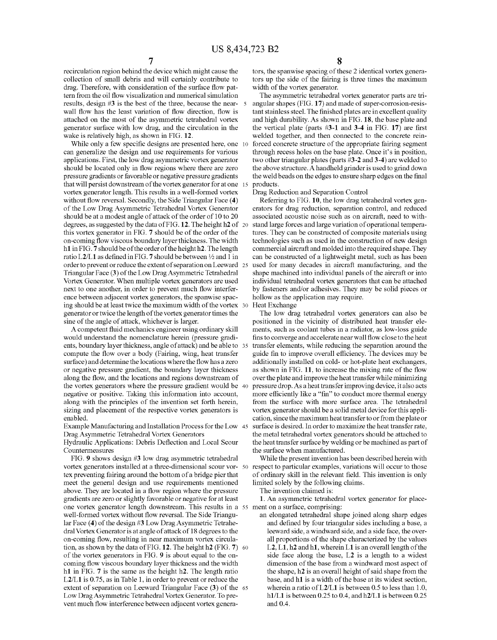recirculation region behind the device which might cause the collection of small debris and will certainly contribute to drag. Therefore, with consideration of the surface flow pattern from the oil flow visualization and numerical simulation results, design #3 is the best of the three, because the near- 5 wall flow has the least variation of flow direction, flow is attached on the most of the asymmetric tetrahedral vortex generator surface with low drag, and the circulation in the wake is relatively high, as shown in FIG. 12.

While only a few specific designs are presented here, one 10 can generalize the design and use requirements for various applications. First, the low drag asymmetric vortex generator should be located only in flow regions where there are zero pressure gradients or favorable or negative pressure gradients that will persist downstream of the vortex generator for at one 15 vortex generator length. This results in a well-formed vortex without flow reversal. Secondly, the Side Triangular Face (4) of the Low Drag Asymmetric Tetrahedral Vortex Generator should be at a modest angle of attack of the order of 10 to 20 degrees, as suggested by the data of FIG. 12. The height h2 of 20 this vortex generator in FIG. 7 should be of the order of the on-coming flow viscous boundary layer thickness. The width h1 in FIG. 7 should be of the order of the height h2. The length ratio L2/L1 as defined in FIG. 7 should be between  $\frac{1}{2}$  and 1 in order to prevent or reduce the extent of separation on Leeward 25 Triangular Face (3) of the Low Drag Asymmetric Tetrahedral Vortex Generator. When multiple vortex generators are used next to one another, in order to prevent much flow interference between adjacent vortex generators, the spanwise spacing should be at least twice the maximum width of the vortex 30 generator or twice the length of the vortex generator times the sine of the angle of attack, whichever is larger.

A competent fluid mechanics engineer using ordinary skill would understand the nomenclature herein (pressure gradients, boundary layer thickness, angle of attack) and be able to 35 compute the flow over a body (Fairing, wing, heat transfer surface) and determine the locations where the flow has a zero or negative pressure gradient, the boundary layer thickness along the flow, and the locations and regions downstream of the vortex generators where the pressure gradient would be 40 negative or positive. Taking this information into account, along with the principles of the invention set forth herein, sizing and placement of the respective vortex generators is enabled.

Example Manufacturing and Installation Process for the Low 45 Drag Asymmetric Tetrahedral Vortex Generators

Hydraulic Applications: Debris Deflection and Local Scour Countermeasures

FIG. 9 shows design #3 low drag asymmetric tetrahedral vortex generators installed at a three-dimensional scour vor- 50 tex preventing fairing around the bottom of a bridge pier that meet the general design and use requirements mentioned above. They are located in a flow region where the pressure gradients are zero or slightly favorable or negative for at least one vortex generator length downstream. This results in a 55 ment on a surface, comprising: well-formed vortex without flow reversal. The Side Triangular Face  $(4)$  of the design #3 Low Drag Asymmetric Tetrahedral Vortex Generator is at angle of attack of 18 degrees to the on-coming flow, resulting in near maximum vortex circulation, as shown by the data of FIG. 12. The height h2 (FIG. 7) 60 of the vortex generators in FIG. 9 is about equal to the oncoming flow viscous boundary layer thickness and the width h<sub>1</sub> in FIG.  $\frac{1}{2}$  is the same as the height h<sub>2</sub>. The length ratio L2/L1 is 0.75, as in Table 1, in order to prevent or reduce the extent of separation on Leeward Triangular Face (3) of the 65 Low Drag Asymmetric Tetrahedral Vortex Generator. To prevent much flow interference between adjacent vortex genera-

8

tors, the spanwise spacing of these 2 identical vortex generators up the side of the fairing is three times the maximum width of the vortex generator.

The asymmetric tetrahedral vortex generator parts are triangular shapes (FIG. 17) and made of super-corrosion-resistant stainless steel. The finished plates are in excellent quality and high durability. As shown in FIG. 18, the base plate and the vertical plate (parts  $#3-1$  and 3-4 in FIG. 17) are first welded together, and then connected to the concrete reinforced concrete structure of the appropriate fairing segment through recess holes on the base plate. Once it's in position, two other triangular plates (parts #3-2 and 3-4) are welded to the above structure. A handheld grinder is used to grind down the weld beads on the edges to ensure sharp edges on the final products.

Drag Reduction and Separation Control

Referring to FIG. 10, the low drag tetrahedral vortex generators for drag reduction, separation control, and reduced associated acoustic noise such as on aircraft, need to withstand large forces and large variation of operational temperatures. They can be constructed of composite materials using technologies such as used in the construction of new design commercial aircraft and molded into the required shape. They can be constructed of a lightweight metal, such as has been used for many decades in aircraft manufacturing, and the shape machined into individual panels of the aircraft or into individual tetrahedral vortex generators that can be attached by fasteners and/or adhesives. They may be solid pieces or hollow as the application may require.

Heat Exchange

The low drag tetrahedral vortex generators can also be positioned in the vicinity of distributed heat transfer elements, such as coolant tubes in a radiator, as low-loss guide fins to converge and accelerate near wall flow close to the heat transfer elements, while reducing the separation around the guide fin to improve overall efficiency. The devices may be additionally installed on cold- or hot-plate heat exchangers, as shown in FIG. 11, to increase the mixing rate of the flow over the plate and improve the heat transfer while minimizing pressure drop. As a heat transfer improving device, it also acts more efficiently like a "fin" to conduct more thermal energy from the surface with more surface area. The tetrahedral vortex generator should be a solid metal device for this application, since the maximum heat transfer to or from the plate or surface is desired. In order to maximize the heat transfer rate, the metal tetrahedral vortex generators should be attached to the heat transfer surface by welding or be machined as part of the surface when manufactured.

While the present invention has been described herein with respect to particular examples, variations will occur to those of ordinary skill in the relevant field. This invention is only limited solely by the following claims.

The invention claimed is:

1. An asymmetric tetrahedral vortex generator for place-

an elongated tetrahedral shape joined along sharp edges and defined by four triangular sides including a base, a leeward side, a windward side, and a side face, the overall proportions of the shape characterized by the values L2, L1, h2 and h1, wherein L1 is an overall length of the side face along the base, L2 is a length to a widest dimension of the base from a windward most aspect of the shape, h2 is an overall height of said shape from the base, and h1 is a width of the base at its widest section, wherein a ratio of  $L2/L1$  is between 0.5 to less than 1.0,  $h1/L1$  is between 0.25 to 0.4, and  $h2/L1$  is between 0.25 and 0.4.